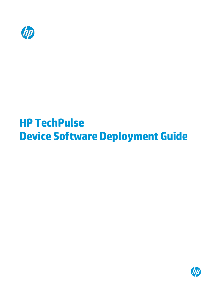

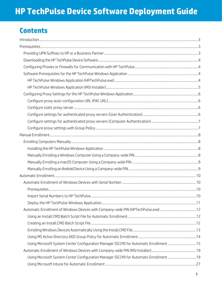## **Contents**

| Using Microsoft System Center Configuration Manager (SCCM) for Automatic Enrollment 15 |  |
|----------------------------------------------------------------------------------------|--|
|                                                                                        |  |
| Using Microsoft System Center Configuration Manager (SCCM) for Automatic Enrollment 19 |  |
|                                                                                        |  |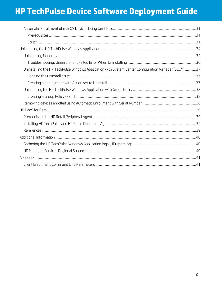| Uninstalling the HP TechPulse Windows Application with System Center Configuration Manager (SCCM)  37 |  |
|-------------------------------------------------------------------------------------------------------|--|
|                                                                                                       |  |
|                                                                                                       |  |
|                                                                                                       |  |
|                                                                                                       |  |
|                                                                                                       |  |
|                                                                                                       |  |
|                                                                                                       |  |
|                                                                                                       |  |
|                                                                                                       |  |
|                                                                                                       |  |
|                                                                                                       |  |
|                                                                                                       |  |
|                                                                                                       |  |
|                                                                                                       |  |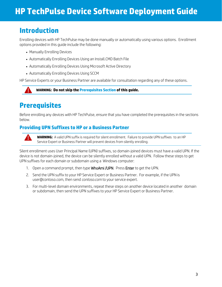## <span id="page-3-0"></span>**Introduction**

Enrolling devices with HP TechPulse may be done manually or automatically using various options. Enrollment options provided in this guide include the following:

- Manually Enrolling Devices
- Automatically Enrolling Devices Using an Install.CMD Batch File
- Automatically Enrolling Devices Using Microsoft Active Directory
- Automatically Enrolling Devices Using SCCM

HP Service Experts or your Business Partner are available for consultation regarding any of these options.



## <span id="page-3-1"></span>**Prerequisites**

Before enrolling any devices with HP TechPulse, ensure that you have completed the prerequisites in the sections below.

### <span id="page-3-2"></span>**Providing UPN Suffixes to HP or a Business Partner**



**WARNING:** A valid UPN suffix is required for silent enrollment. Failure to provide UPN suffixes to an HP Service Expert or Business Partner will prevent devices from silently enrolling.

Silent enrollment uses User Principal Name (UPN) suffixes, so domain-joined devices must have a valid UPN. If the device is not domain-joined, the device can be silently enrolled without a valid UPN. Follow these steps to get UPN suffixes for each domain or subdomain using a Windows computer:

- 1. Open a command prompt, then type WhoAmi /UPN. Press Enter to get the UPN.
- 2. Send the UPN suffix to your HP Service Expert or Business Partner. For example, if the UPN i[s](mailto:user@contoso.com) [user@contoso.com,](mailto:user@contoso.com) then send *contoso.com* to your service expert.
- 3. For multi-level domain environments, repeat these steps on another device located in another domain or subdomain, then send the UPN suffixes to your HP Service Expert or Business Partner.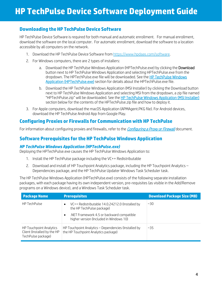### <span id="page-4-0"></span>**Downloading the HP TechPulse Device Software**

HP TechPulse Device Software is required for both manual and automatic enrollment. For manual enrollment, download the software on the local computer. For automatic enrollment, download the software to a location accessible by all computers on the network.

- 1. Download the HP TechPulse Device Software from [https://www.hpdaas.com/software.](https://www.hpdaas.com/software)
- 2. For Windows computers, there are 2 types of installers:
	- a. Download the HP TechPulse Windows Application (HPTechPulse.exe) by clicking the Download button next to HP TechPulse Windows Application and selecting HPTechPulse.exe from the dropdown. The HPTechPulse.exe file will be downloaded. See the [HP TechPulse Windows](#page-4-3)  [Application \(HPTechPulse.exe\)](#page-4-3) section for details about the HPTechPulse.exe file.
	- b. Download the HP TechPulse Windows Application (MSI Installer) by clicking the Download button next to HP TechPulse Windows Application and selecting MSI from the dropdown, a zip file named "HPTechPulse.zip" will be downloaded. See the [HP TechPulse Windows Application \(MSI Installer\)](#page-4-4) section below for the contents of the HPTechPulse.zip file and how to deploy it.
- 3. For Apple computers, download the macOS Application (APMAgent.PKG file). For Android devices, download the HP TechPulse Android App from Google Play.

### <span id="page-4-1"></span>**Configuring Proxies or Firewalls for Communication with HP TechPulse**

For information about configuring proxies and firewalls, refer to the *[Configuring a Proxy or Firewall](ftp://ftp.hp.com/pub/caps-softpaq/HP_DaaS/Documentation/Welcome_Kit/Enrollment_Guides/Configuring_a_Proxy_or_Firewall_for_%20HP_%20PI_PEM_PS-EN.pdf)* document.

### <span id="page-4-2"></span>**Software Prerequisites for the HP TechPulse Windows Application**

#### <span id="page-4-3"></span>*HP TechPulse Windows Application (HPTechPulse.exe)*

Deploying the HPTechPulse.exe causes the HP TechPulse Windows Application to:

- 1. Install the HP TechPulse package including the VC++ Redistributable
- 2. Download and install of HP Touchpoint Analytics package, including the HP Touchpoint Analytics Dependencies package, and the HP TechPulse Updater Windows Task Scheduler task.

The HP TechPulse Windows Application (HPTechPulse.exe) consists of the following separate installation packages, with each package having its own independent version, pre-requisites (as visible in the Add/Remove programs on a Windows device), and a Windows Task Scheduler task.

<span id="page-4-4"></span>

| <b>Package Name</b><br><b>Prerequisites</b>                                  |                                                                                              | <b>Download Package Size (MB)</b> |
|------------------------------------------------------------------------------|----------------------------------------------------------------------------------------------|-----------------------------------|
| <b>HP TechPulse</b>                                                          | VC++ Redistributable 14.0.24212.0 (Installed by<br>٠<br>the HP TechPulse package)            | ~30                               |
|                                                                              | .NET Framework 4.5 or backward compatible<br>٠<br>higher version (Included in Windows 10)    |                                   |
| HP Touchpoint Analytics<br>Client (Installed by the HP<br>TechPulse package) | HP Touchpoint Analytics - Dependencies (Installed by<br>the HP Touchpoint Analytics package) | ~35                               |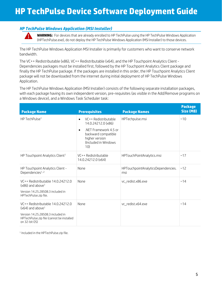### <span id="page-5-0"></span>*HP TechPulse Windows Application (MSI Installer)*

**WARNING:** For devices that are already enrolled to HP TechPulse using the HP TechPulse Windows Application (HPTechPulse.exe), do not deploy the HP TechPulse Windows Application (MSI Installer) to those devices.

The HP TechPulse Windows Application MSI Installer is primarily for customers who want to conserve network bandwidth.

The VC++ Redistributable (x86), VC++ Redistributable (x64), and the HP Touchpoint Analytics Client - Dependencies packages must be installed first, followed by the HP Touchpoint Analytics Client package and finally the HP TechPulse package. If the packages are installed in this order, the HP Touchpoint Analytics Client package will not be downloaded from the internet during initial deployment of HP TechPulse Windows Application.

The HP TechPulse Windows Application (MSI Installer) consists of the following separate installation packages, with each package having its own independent version, pre-requisites (as visible in the Add/Remove programs on a Windows device), and a Windows Task Scheduler task:

| <b>Package Name</b>                                                                                                               | <b>Prerequisites</b>                                                                                       | <b>Package Names</b>                      | <b>Package</b><br>Size (MB) |
|-----------------------------------------------------------------------------------------------------------------------------------|------------------------------------------------------------------------------------------------------------|-------------------------------------------|-----------------------------|
| HP TechPulse <sup>1</sup>                                                                                                         | VC++ Redistributable<br>$\bullet$<br>14.0.24212.0 (x86)                                                    | HPTechpulse.msi                           | ~10                         |
|                                                                                                                                   | .NET Framework 4.5 or<br>$\bullet$<br>backward compatible<br>higher version<br>(Included in Windows<br>10) |                                           |                             |
| HP Touchpoint Analytics Client <sup>1</sup>                                                                                       | VC++ Redistributable<br>14.0.24212.0 (x64)                                                                 | HPTouchPointAnalytics.msi                 | ~17                         |
| HP Touchpoint Analytics Client -<br>Dependencies <sup>1, 2</sup>                                                                  | None                                                                                                       | HPTouchpointAnalyticsDependencies.<br>msi | ~12                         |
| VC++ Redistributable 14.0.24212.0<br>$(x86)$ and above <sup>1</sup><br>Version 14.25.28508.3 included in<br>HPTechPulse.zip file. | None                                                                                                       | vc_redist.x86.exe                         | ~14                         |
| VC++ Redistributable 14.0.24212.0<br>$(x64)$ and above <sup>1</sup>                                                               | None                                                                                                       | vc_redist.x64.exe                         | ~14                         |
| Version 14.25.28508.3 included in<br>HPTechPulse.zip file (cannot be installed<br>on 32-bit 0S)                                   |                                                                                                            |                                           |                             |

<sup>1</sup> Included in the HPTechPulse.zip file.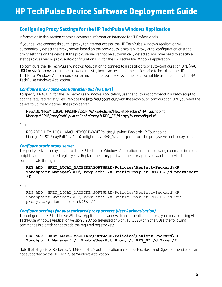### <span id="page-6-0"></span>**Configuring Proxy Settings for the HP TechPulse Windows Application**

Information in this section contains advanced information intended for IT Professionals.

If your devices connect through a proxy for internet access, the HP TechPulse Windows Application will automatically detect the proxy server based on the proxy auto-discovery, proxy auto-configuration or static proxy settings on the device. If the proxy server cannot be automatically detected, you may need to specify a static proxy server or proxy auto-configuration URL for the HP TechPulse Windows Application.

To configure the HP TechPulse Windows Application to connect to a specific proxy auto-configuration URL (PAC URL) or static proxy server, the following registry keys can be set on the device prior to installing the HP TechPulse Windows Application. You can include the registry keys in the batch script file used to deploy the HP TechPulse Windows Application.

#### <span id="page-6-1"></span>*Configure proxy auto-configuration URL (PAC URL)*

To specify a PAC URL for the HP TechPulse Windows Application, use the following command in a batch script to add the required registry key. Replace the **http://autoconfigurl** with the proxy auto-configuration URL you want the device to utilize to discover the proxy server.

#### REG ADD "HKEY\_LOCAL\_MACHINE\SOFTWARE\Policies\Hewlett-Packard\HP Touchpoint Manager\GPO\ProxyPath" /v AutoConfigProxy /t REG\_SZ /d http://autoconfigurl /f

Example:

REG ADD "HKEY\_LOCAL\_MACHINE\SOFTWARE\Policies\Hewlett-Packard\HP Touchpoint Manager\GPO\ProxyPath" /v AutoConfigProxy /t REG\_SZ /d http://autocache.proxyserver.net/proxy.pac /f

#### <span id="page-6-2"></span>*Configure static proxy server*

To specify a static proxy server for the HP TechPulse Windows Application, use the following command in a batch script to add the required registry key. Replace the **proxy:port** with the proxy:port you want the device to communicate through:

#### **REG ADD "HKEY\_LOCAL\_MACHINE\SOFTWARE\Policies\Hewlett-Packard\HP Touchpoint Manager\GPO\ProxyPath" /v StaticProxy /t REG\_SZ /d proxy:port /f**

Example:

```
REG ADD "HKEY LOCAL MACHINE\SOFTWARE\Policies\Hewlett-Packard\HP
Touchpoint Manager\GPO\ProxyPath" /v StaticProxy /t REG_SZ /d web-
proxy.corp.domain.com:8080 /f
```
#### <span id="page-6-3"></span>*Configure settings for authenticated proxy servers (User Authentication)*

To configure the HP TechPulse Windows Application to work with an authenticated proxy, you must be using HP TechPulse Windows Application version 3.20.455 (released on April 15, 2020) or higher. Use the following commands in a batch script to add the required registry key:

#### **REG ADD "HKEY\_LOCAL\_MACHINE\SOFTWARE\Policies\Hewlett-Packard\HP Touchpoint Manager" /v EnableUserAuthProxy /t REG\_SZ /d True /f**

Note that Negotiate (Kerberos, NTLM) and NTLM authentication are supported. Basic and Digest authentication are not supported by the HP TechPulse Windows Application.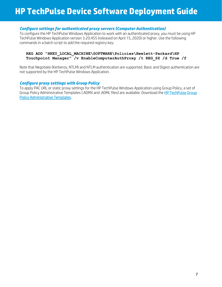#### <span id="page-7-0"></span>*Configure settings for authenticated proxy servers (Computer Authentication)*

To configure the HP TechPulse Windows Application to work with an authenticated proxy, you must be using HP TechPulse Windows Application version 3.20.455 (released on April 15, 2020) or higher. Use the following commands in a batch script to add the required registry key:

#### **REG ADD "HKEY\_LOCAL\_MACHINE\SOFTWARE\Policies\Hewlett-Packard\HP Touchpoint Manager" /v EnableComputerAuthProxy /t REG\_SZ /d True /f**

Note that Negotiate (Kerberos, NTLM) and NTLM authentication are supported. Basic and Digest authentication are not supported by the HP TechPulse Windows Application.

#### <span id="page-7-1"></span>*Configure proxy settings with Group Policy*

To apply PAC URL or static proxy settings for the HP TechPulse Windows Application using Group Policy, a set of Group Policy Administrative Templates (.ADMX and .ADML files) are available. Download th[e HP TechPulse Group](http://ftp.hp.com/pub/caps-softpaq/HP_DaaS/DaaS%20Client%20Scripts/GPO/AdminstrativeTemplates/HPTechPulse-ProxyConfiguration-GPO.zip)  [Policy Administrative Templates.](http://ftp.hp.com/pub/caps-softpaq/HP_DaaS/DaaS%20Client%20Scripts/GPO/AdminstrativeTemplates/HPTechPulse-ProxyConfiguration-GPO.zip)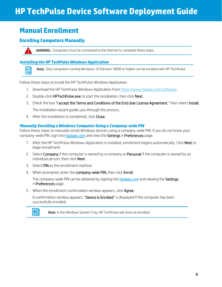## <span id="page-8-0"></span>**Manual Enrollment**

## <span id="page-8-1"></span>**Enrolling Computers Manually**



畐

WARNING: Computers must be connected to the Internet to complete these steps.

#### <span id="page-8-2"></span>*Installing the HP TechPulse Windows Application*

Note: Only computers running Windows 10 (Version 1809) or higher can be enrolled with HP TechPulse.

Follow these steps to install the HP TechPulse Windows Application.

- 1. Download the HP TechPulse Windows Application fro[m https://www.hpdaas.com/software.](https://www.hpdaas.com/software)
- 2. Double-click HPTechPulse.exe to start the installation, then click Next.
- 3. Check the box "I accept the Terms and Conditions of the End User License Agreement," then select Install. The installation wizard guides you through the process.
- 4. After the installation is completed, click Close.

#### <span id="page-8-3"></span>*Manually Enrolling a Windows Computer Using a Company-wide PIN*

Follow these steps to manually enroll Windows devices using a company-wide PIN. If you do not know your company-wide PIN, sign into hpdaas.com and view the Settings > Preferences page.

- 1. After the HP TechPulse Windows Application is installed, enrollment begins automatically. Click Next to begin enrollment.
- 2. Select **Company** if the computer is owned by a company or **Personal** if the computer is owned by an individual person, then click Next.
- 3. Select PIN as the enrollment method.
- 4. When prompted, enter the company-wide PIN, then click Enroll.

The company-wide PIN can be obtained by signing into **hpdaas.com** and viewing the **Settings** > Preferences page.

5. When the enrollment confirmation window appears, click **Agree**.

A confirmation window appears. "Device Is Enrolled" is displayed If the computer has been successfully enrolled.



Note: In the Windows System Tray, HP TechPulse will show as enrolled.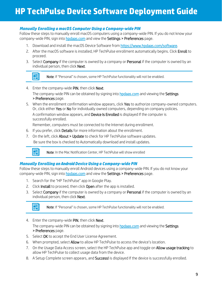### <span id="page-9-0"></span>*Manually Enrolling a macOS Computer Using a Company-wide PIN*

Follow these steps to manually enroll macOS computers using a company-wide PIN. If you do not know your company-wide PIN, sign into hpdaas.com and view the Settings > Preferences page.

- 1. Download and install the macOS Device Software from [https://www.hpdaas.com/software.](https://www.hpdaas.com/software)
- 2. After the macOS software is installed, HP TechPulse enrollment automatically begins. Click Enroll to proceed.
- 3. Select Company if the computer is owned by a company or Personal if the computer is owned by an individual person, then click Next.

團 l

Note: If "Personal" is chosen, some HP TechPulse functionality will not be enabled.

- 4. Enter the company-wide PIN, then click Next. The company-wide PIN can be obtained by signing into **hpdaas.com** and viewing the **Settings** > Preferences page.
- 5. When the enrollment confirmation window appears, click Yes to authorize company-owned computers. Or, click either Yes or No for individually owned computers, depending on company policies. A confirmation window appears, and Device Is Enrolled is displayed If the computer is successfully enrolled.

Remember, computers must be connected to the Internet during enrollment.

- 6. If you prefer, click Details for more information about the enrollment.
- 7. On the left, click About > Update to check for HP TechPulse software updates. Be sure the box is checked to Automatically download and install updates.



l

Note: In the Mac Notification Center, HP TechPulse will show enrolled

#### <span id="page-9-1"></span>*Manually Enrolling an AndroidDevice Using a Company-wide PIN*

Follow these steps to manually enroll Android devices using a company-wide PIN. If you do not know your company-wide PIN, sign into hpdaas.com and view the Settings > Preferences page.

- 1. Search for the "HP TechPulse" app in Google Play.
- 2. Click Install to proceed, then click Open after the app is installed.
- 3. Select Company if the computer is owned by a company or Personal if the computer is owned by an individual person, then click Next.



Note: If "Personal" is chosen, some HP TechPulse functionality will not be enabled.

4. Enter the company-wide PIN, then click Next.

The company-wide PIN can be obtained by signing into hpdaas.com and viewing the Settings > Preferences page.

- 5. Select OK to accept the End User License Agreement.
- 6. When prompted, select Allow to allow HP TechPulse to access the device's location.
- 7. On the Usage Data Access screen, select the HP TechPulse app and toggle on **Allow usage tracking** to allow HP TechPulse to collect usage data from the device.
- 8. A Setup Complete screen appears, and **Success!** is displayed If the device is successfully enrolled.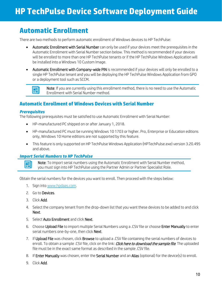## <span id="page-10-0"></span>**Automatic Enrollment**

There are two methods to perform automatic enrollment of Windows devices to HP TechPulse:

- Automatic Enrollment with Serial Number can only be used if your devices meet the prerequisites in the Automatic Enrollment with Serial Number section below. This method is recommended if your devices will be enrolled to more than one HP TechPulse tenants or if the HP TechPulse Windows Application will be installed into a Windows 10 Custom Image.
- Automatic Enrollment with Company-wide PIN is recommended if your devices will only be enrolled to a single HP TechPulse tenant and you will be deploying the HP TechPulse Windows Application from GPO or a deployment tool such as SCCM.



Note: If you are currently using this enrollment method, there is no need to use the Automatic Enrollment with Serial Number method.

### <span id="page-10-1"></span>**Automatic Enrollment of Windows Devices with Serial Number**

#### <span id="page-10-2"></span>*Prerequisites*

圉

The following prerequisites must be satisfied to use Automatic Enrollment with Serial Number:

- HP-manufactured PC shipped on or after January 1, 2018.
- HP-manufactured PC must be running Windows 10 1703 or higher. Pro, Enterprise or Education editions only, Windows 10 Home editions are not supported by this feature.
- This feature is only supported on HP TechPulse Windows Application (HPTechPulse.exe) version 3.20.495 and above.

#### <span id="page-10-3"></span>*Import Serial Numbers to HP TechPulse*

Note: To import serial numbers using the Automatic Enrollment with Serial Number method, you must sign into HP TechPulse using the Partner Admin or Partner Specialist Role.

Obtain the serial numbers for the devices you want to enroll. Then proceed with the steps below:

- 1. Sign int[o www.hpdaas.com.](http://www.hpdaas.com/)
- 2. Go to Devices.
- 3. Click Add.
- 4. Select the company tenant from the drop-down list that you want these devices to be added to and click Next.
- 5. Select Auto Enrollment and click Next.
- 6. Choose Upload File to import multiple Serial Numbers using a .CSV file or choose Enter Manually to enter serial numbers one-by-one, then click Next.
- 7. If Upload File was chosen, click Browse to upload a .CSV file containing the serial numbers of devices to enroll. To obtain a sample .CSV file, click on the link: *Click here to download the sample file*. The uploaded file must be in the exact same format as described in the sample .CSV file.
- 8. If Enter Manually was chosen, enter the Serial Number and an Alias (optional) for the device(s) to enroll.
- 9. Click Add.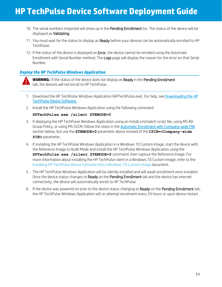- 10. The serial numbers imported will show up in the Pending Enrollment list. The status of the device will be displayed as Validating.
- 11. You must wait for the status to display as Ready before your devices can be automatically enrolled to HP TechPulse.
- 12. If the status of the device is displayed as Error, the device cannot be enrolled using the Automatic Enrollment with Serial Number method. The Logs page will display the reason for the error on that Serial Number.

#### <span id="page-11-0"></span>*Deploy the HP TechPulse Windows Application*

**WARNING:** If the status of the device does not display as Ready in the Pending Enrollment tab, the devices will not enroll to HP TechPulse.

- 1. Download the HP TechPulse Windows Application (HPTechPulse.exe). For help, see Downloading the HP TechPulse Device Software.
- 2. Install the HP TechPulse Windows Application using the following command:

#### **HPTechPulse.exe /silent ZTEMODE=0**

- 3. If deploying the HP TechPulse Windows Application using an install.cmd batch script file, using MS AD Group Policy, or using MS SCCM, follow the steps in th[e Automatic Enrollment with Company-wide PIN](#page-11-1) section below, but use the **ZTEMODE=0** parameter above instead of the **CPIN=<Company-wide PIN>** parameter.
- 4. If installing the HP TechPulse Windows Application in a Windows 10 Custom Image, start the device with the Reference Image to Audit Mode and install the HP TechPulse Windows Application using the **HPTechPulse.exe /silent ZTEMODE=0** command, then capture the Reference Image. For more information about installing the HP TechPulse client in a Windows 10 Custom Image, refer to the Installing HP TechPulse Device Software into a Windows 10 Custom Image document.
- 5. The HP TechPulse Windows Application will be silently installed and will await enrollment once installed. Once the device status changes to Ready on the Pending Enrollment tab and the device has internet connectivity, the device will automatically enroll to HP TechPulse.
- <span id="page-11-1"></span>6. If the device was powered on prior to the device status changing to Ready on the Pending Enrollment tab, the HP TechPulse Windows Application will re-attempt enrolment every 24 hours or upon device restart.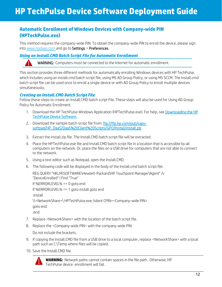### <span id="page-12-0"></span>**Automatic Enrollment of Windows Devices with Company-wide PIN (HPTechPulse.exe)**

This method requires the company-wide PIN. To obtain the company-wide PIN to enroll the device, please sign int[o www.hpdaas.com](http://www.hpdaas.com/) and go to Settings > Preferences.

#### <span id="page-12-1"></span>*Using an Install.CMD Batch Script File for Automatic Enrollment*

WARNING: Computers must be connected to the Internet for automatic enrollment.

This section provides three different methods for automatically enrolling Windows devices with HP TechPulse, which includes using an install.cmd batch script file, using MS AD Group Policy, or using MS SCCM. The Install.cmd batch script file can be used once to enroll a single device or with AD Group Policy to enroll multiple devices simultaneously.

#### <span id="page-12-2"></span>*Creating an Install.CMD Batch Script File*

Follow these steps to create an Install.CMD batch script File. These steps will also be used for Using AD Group Policy for Automatic Enrollment.

- 1. Download the HP TechPulse Windows Application (HPTechPulse.exe). For help, see Downloading the HP TechPulse Device Software.
- 2. Download the sample batch script file from[: ftp://ftp.hp.com/pub/caps](ftp://ftp.hp.com/pub/caps-softpaq/HP_DaaS/DaaS%20Client%20Scripts/GPO/Install/install.zip)[softpaq/HP\\_DaaS/DaaS%20Client%20Scripts/GPO/Install/install.zip](ftp://ftp.hp.com/pub/caps-softpaq/HP_DaaS/DaaS%20Client%20Scripts/GPO/Install/install.zip)
- 3. Extract the install.zip file. The Install.CMD batch script file will be extracted.
- 4. Place the HPTechPulse.exe file and Install.CMD batch script file in a location that is accessible by all computers on the network. Or, place the files on a USB drive for computers that are not able to connect to the network.
- 5. Using a text editor such as Notepad, open the Install.CMD.
- 6. The following code will be displayed in the body of the Install.cmd batch script file:

REG QUERY "HKLM\SOFTWARE\Hewlett-Packard\HP Touchpoint Manager\Agent" /v "DeviceEnrolled" | Find "True"

If %ERRORLEVEL% == 0 goto end

If %ERRORLEVEL% == 1 goto install goto end

:install

\\<NetworkShare>\ HPTechPulse.exe /silent CPIN=<Company-wide PIN>

```
goto end
```
:end

- 7. Replace <NetworkShare> with the location of the batch script file.
- 8. Replace the <Company-wide PIN> with the company-wide PIN.

Do not include the brackets.

- 9. If copying the Install.CMD file from a USB drive to a local computer, replace <NetworkShare> with a local path such as C:\Temp where files will be copied.
- 10. Save the Install.CMD file.



**WARNING:** Network paths cannot contain spaces in the file path. Otherwise, HP TechPulse device enrollment will fail.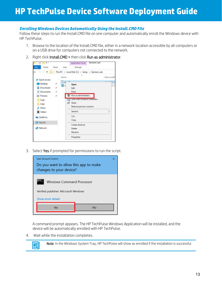#### <span id="page-13-0"></span>*Enrolling Windows Devices Automatically Using the Install.CMD File*

Follow these steps to run the Install.CMD file on one computer and automatically enroll the Windows device with HP TechPulse.

- 1. Browse to the location of the Install.CMD file, either in a network location accessible by all computers or on a USB drive for computers not connected to the network.
- 2. Right click Install.CMD > then click Run as administrator.



3. Select Yes if prompted for permissions to run the script.



A command prompt appears. The HP TechPulse Windows Application will be installed, and the device will be automatically enrolled with HP TechPulse.

4. Wait while the installation completes.



Note: In the Windows System Tray, HP TechPulse will show as enrolled if the installation is successful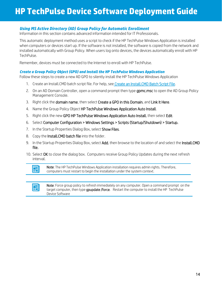### <span id="page-14-0"></span>*Using MS Active Directory (AD) Group Policy for Automatic Enrollment*

Information in this section contains advanced information intended for IT Professionals.

This automatic deployment method uses a script to check if the HP TechPulse Windows Application is installed when computers or devices start up. If the software is not installed, the software is copied from the network and installed automatically with Group Policy. When users log onto devices, the devices automatically enroll with HP TechPulse.

Remember, devices must be connected to the Internet to enroll with HP TechPulse.

#### *Create a Group Policy Object (GPO) and Install the HP TechPulse Windows Application*

Follow these steps to create a new AD GPO to silently install the HP TechPulse Windows Application

- 1. Create an Install.CMD batch script file. For help, see Create an Install.CMD Batch Script File.
- 2. On an AD Domain Controller, open a command prompt then type **gpmc.msc** to open the AD Group Policy Management Console.
- 3. Right click the domain name, then select Create a GPO in this Domain, and Link It Here.
- 4. Name the Group Policy Object HP TechPulse Windows Application Auto Install.
- 5. Right click the new GPO HP TechPulse Windows Application Auto Install, then select Edit.
- 6. Select Computer Configuration > Windows Settings > Scripts (Startup/Shutdown) > Startup.
- 7. In the Startup Properties Dialog Box, select Show Files.
- 8. Copy the **Install.CMD batch file** into the folder.
- 9. In the Startup Properties Dialog Box, select Add, then browse to the location of and select the Install.CMD file.
- 10. Select OK to close the dialog box. Computers receive Group Policy Updates during the next refresh interval.



Note: The HP TechPulse Windows Application installation requires admin rights. Therefore, computers must restart to begin the installation under the system context.



Note: Force group policy to refresh immediately on any computer. Open a command prompt on the target computer, then type gpupdate /force. Restart the computer to install the HP TechPulse Device Software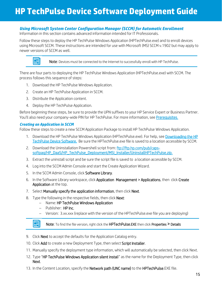### <span id="page-15-0"></span>*Using Microsoft System Center Configuration Manager (SCCM) for Automatic Enrollment*

Information in this section contains advanced information intended for IT Professionals.

Follow these steps to deploy the HP TechPulse Windows Application (HPTechPulse.exe) and to enroll devices using Microsoft SCCM. These instructions are intended for use with Microsoft (MS) SCCM v.1902 but may apply to newer versions of SCCM as well.



 $\begin{array}{|c|c|c|}\hline \hline \multicolumn{1}{|c|}{\mathbb{R}}\end{array}$  Note: Devices must be connected to the Internet to successfully enroll with HP TechPulse.

There are four parts to deploying the HP TechPulse Windows Application (HPTechPulse.exe) with SCCM. The process follows this sequence of steps:

- 1. Download the HP TechPulse Windows Application.
- 2. Create an HP TechPulse Application in SCCM.
- 3. Distribute the Application content.
- 4. Deploy the HP TechPulse Application.

Before beginning these steps, be sure to provide the UPN suffixes to your HP Service Expert or Business Partner. You'll also need your company-wide PIN for HP TechPulse. For more information, se[e Prerequisites.](#page-3-1)

#### *Creating an Application in SCCM*

Follow these steps to create a new SCCM Application Package to install HP TechPulse Windows Application.

- 1. Download the HP TechPulse Windows Application (HPTechPulse.exe). For help, see Downloading the HP TechPulse Device Software. Be sure the HPTechPulse.exe file is saved to a location accessible by SCCM.
- 2. Download the Uninstallation Powershell script from: [ftp://ftp.hp.com/pub/caps](ftp://ftp.hp.com/pub/caps-softpaq/HP_DaaS/HP_TechPulse_Deployment/MSI_Installer/UninstallHPTechPulse.zip)[softpaq/HP\\_DaaS/HP\\_TechPulse\\_Deployment/MSI\\_Installer/UninstallHPTechPulse.zip.](ftp://ftp.hp.com/pub/caps-softpaq/HP_DaaS/HP_TechPulse_Deployment/MSI_Installer/UninstallHPTechPulse.zip)
- 3. Extract the uninstall script and be sure the script file is saved to a location accessible by SCCM.
- 4. Log into the SCCM Admin Console and start the Create Application Wizard.
- 5. In the SCCM Admin Console, click Software Library.
- 6. In the Software Library workspace, click Application Management > Applications, then click Create Application at the top.
- 7. Select Manually specify the application information, then click Next.
- 8. Type the following in the respective fields, then click **Next**:
	- − Name: HP TechPulse Windows Application
	- − Publisher: HP Inc.
	- − Version: 3.xx.xxx (replace with the version of the HPTechPulse.exe file you are deploying)

### Note: To find the file version, right click the HPTechPulse.EXE then click Properties > Details

- 9. Click **Next** to accept the defaults for the Application Catalog entry.
- 10. Click Add to create a new Deployment Type, then select Script Installer.
- 11. Manually specify the deployment type information, which will automatically be selected, then click Next.
- 12. Type "HP TechPulse Windows Application silent install" as the name for the Deployment Type, then click Next.
- 13. In the Content Location, specify the Network path (UNC name) to the HPTechPulse.EXE file.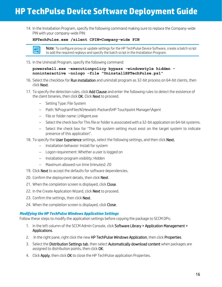14. In the Installation Program, specify the following command making sure to replace the Company-wide PIN with your company-wide PIN:

#### **HPTechPulse.exe /silent CPIN=Company-wide PIN**



Note: To configure proxy or update settings for the HP TechPulse Device Software, create a batch script to add the required regkeys and specify the batch script in the Installation Program.

15. In the Uninstall Program, specify the following command:

#### **powershell.exe -executionpolicy bypass -windowstyle hidden noninteractive -nologo -file "UninstallHPTechPulse.ps1"**

- 16. Select the checkbox for **Run installation** and uninstall program as 32-bit process on 64-bit clients, then click Next.
- 17. To specify the detection rules, click Add Clause and enter the following rules to detect the existence of the client binaries, then click OK. Click Next to proceed.
	- − Setting Type: File System
	- − Path: %ProgramFiles%\Hewlett-Packard\HP Touchpoint Manager\Agent
	- − File or folder name: LHAgent.exe
	- − Select the check box for This file or folder is associated with a 32-bit application on 64-bit systems.
	- − Select the check box for "The file system setting must exist on the target system to indicate presence of this application".
- 18. To specify the User Experience settings, select the following settings, and then click Next.
	- − Installation behavior: Install for system
	- − Logon requirement: Whether a user is logged on
	- − Installation program visibility: Hidden
	- − Maximum allowed run time (minutes): 20
- 19. Click Next to accept the defaults for software dependencies.
- 20. Confirm the deployment details, then click Next.
- 21. When the completion screen is displayed, click Close.
- 22. In the Create Application Wizard, click Next to proceed.
- 23. Confirm the settings, then click Next.
- 24. When the completion screen is displayed, click Close.

#### *Modifying the HP TechPulse Windows Application Settings*

Follow these steps to modify the application settings before copying the package to SCCM DPs:

- 1. In the left column of the SCCM Admin Console, click Software Library > Application Management > Applications.
- 2. In the right pane, right click the new HP TechPulse Windows Application, then click Properties.
- 3. Select the Distribution Settings tab, then select Automatically download content when packages are assigned to distribution points, then click OK.
- 4. Click Apply, then click OK to close the HP TechPulse application Properties.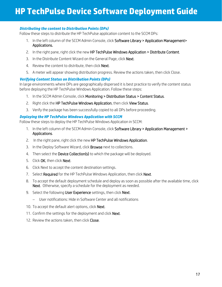#### *Distributing the content to Distribution Points (DPs)*

Follow these steps to distribute the HP TechPulse application content to the SCCM DPs:

- 1. In the left column of the SCCM Admin Console, click Software Library > Application Management> Applications.
- 2. In the right pane, right click the new HP TechPulse Windows Application > Distribute Content.
- 3. In the Distribute Content Wizard on the General Page, click Next.
- 4. Review the content to distribute, then click **Next**.
- 5. A meter will appear showing distribution progress. Review the actions taken, then click Close.

#### *Verifying Content Status on Distribution Points (DPs)*

In large environments where DPs are geographically dispersed it is best practice to verify the content status before deploying the HP TechPulse Windows Application. Follow these steps:

- 1. In the SCCM Admin Console, click Monitoring > Distribution Status > Content Status.
- 2. Right click the HP TechPulse Windows Application, then click View Status.
- 3. Verify the package has been successfully copied to all DPs before proceeding.

#### *Deploying the HP TechPulse Windows Application with SCCM*

Follow these steps to deploy the HP TechPulse Windows Application in SCCM:

- 1. In the left column of the SCCM Admin Console, click Software Library > Application Management > Applications.
- 2. In the right pane, right click the new HP TechPulse Windows Application.
- 3. In the Deploy Software Wizard, click **Browse** next to collections.
- 4. Then select the **Device Collection(s)** to which the package will be deployed.
- 5. Click OK, then click Next.
- 6. Click Next to accept the content destination settings.
- 7. Select Required for the HP TechPulse Windows Application, then click Next.
- 8. To accept the default deployment schedule and deploy as soon as possible after the available time, click Next. Otherwise, specify a schedule for the deployment as needed.
- 9. Select the following User Experience settings, then click Next.
	- − User notifications: Hide in Software Center and all notifications
- 10. To accept the default alert options, click Next.
- 11. Confirm the settings for the deployment and click Next.
- 12. Review the actions taken, then click Close.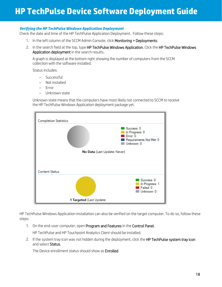#### *Verifying the HP TechPulse Windows Application Deployment*

Check the date and time of the HP TechPulse Application Deployment. Follow these steps:

- 1. In the left column of the SCCM Admin Console, click Monitoring > Deployments.
- 2. In the search field at the top, type HP TechPulse Windows Application. Click the HP TechPulse Windows Application deployment in the search results.

A graph is displayed at the bottom right showing the number of computers from the SCCM collection with the software installed.

Status includes:

- − Successful
- − Not installed
- − Error
- − Unknown state

Unknown state means that the computers have most likely not connected to SCCM to receive the HP TechPulse Windows Application deployment package yet.



HP TechPulse Windows Application installation can also be verified on the target computer. To do so, follow these steps:

1. On the end-user computer, open Program and Features in the Control Panel.

HP TechPulse and HP Touchpoint Analytics Client should be installed.

2. If the system tray icon was not hidden during the deployment, click the HP TechPulse system tray icon and select Status.

The Device enrollment status should show as **Enrolled.**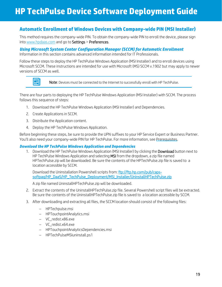### <span id="page-19-0"></span>**Automatic Enrollment of Windows Devices with Company-wide PIN (MSI Installer)**

This method requires the company-wide PIN. To obtain the company-wide PIN to enroll the device, please sign int[o www.hpdaas.com](http://www.hpdaas.com/) and go to Settings > Preferences.

#### <span id="page-19-1"></span>*Using Microsoft System Center Configuration Manager (SCCM) for Automatic Enrollment*

Information in this section contains advanced information intended for IT Professionals.

Follow these steps to deploy the HP TechPulse Windows Application (MSI Installer) and to enroll devices using Microsoft SCCM. These instructions are intended for use with Microsoft (MS) SCCM v.1902 but may apply to newer versions of SCCM as well.



 $\begin{array}{|c|c|c|}\hline \multicolumn{1}{|c|}{\mathbb{R}}\end{array}$  Note: Devices must be connected to the Internet to successfully enroll with HP TechPulse.

There are four parts to deploying the HP TechPulse Windows Application (MSI Installer) with SCCM. The process follows this sequence of steps:

- 1. Download the HP TechPulse Windows Application (MSI Installer) and Dependencies.
- 2. Create Applications in SCCM.
- 3. Distribute the Application content.
- 4. Deploy the HP TechPulse Windows Application.

Before beginning these steps, be sure to provide the UPN suffixes to your HP Service Expert or Business Partner. You'll also need your company-wide PIN for HP TechPulse. For more information, se[e Prerequisites.](#page-3-1)

#### *Download the HP TechPulse Windows Application and Dependencies*

1. Download the HP TechPulse Windows Application (MSI Installer) by clicking the Download button next to HP TechPulse Windows Application and selecting MSI from the dropdown, a zip file named HPTechPulse.zip will be downloaded. Be sure the contents of the HPTechPulse.zip file is saved to a location accessible by SCCM.

Download the Uninstallation Powershell scripts from: [ftp://ftp.hp.com/pub/caps](ftp://ftp.hp.com/pub/caps-softpaq/HP_DaaS/HP_TechPulse_Deployment/MSI_Installer/UninstallHPTechPulse.zip)[softpaq/HP\\_DaaS/HP\\_TechPulse\\_Deployment/MSI\\_Installer/UninstallHPTechPulse.zip](ftp://ftp.hp.com/pub/caps-softpaq/HP_DaaS/HP_TechPulse_Deployment/MSI_Installer/UninstallHPTechPulse.zip)

A zip file named UninstallHPTechPulse.zip will be downloaded.

- 2. Extract the contents of the UninstallHPTechPulse.zip file. Several Powershell script files will be extracted. Be sure the contents of the UninstallHPTechPulse.zip file is saved to a location accessible by SCCM.
- 3. After downloading and extracting all files, the SCCM location should consist of the following files:
	- − HPTechpulse.msi
	- − HPTouchpointAnalytics.msi
	- − VC\_redist.x86.exe
	- − VC\_redist.x64.exe
	- − HPTouchpointAnalyticsDependencies.msi
	- − HPTechPulseMSIuninstall.ps1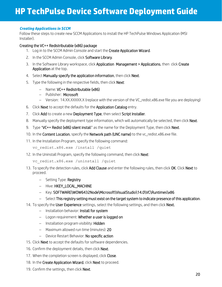#### *Creating Applications in SCCM*

Follow these steps to create new SCCM Applications to install the HP TechPulse Windows Application (MSI Installer).

#### Creating the VC++ Redistributable (x86) package

- 1. Log in to the SCCM Admin Console and start the Create Application Wizard.
- 2. In the SCCM Admin Console, click Software Library.
- 3. In the Software Library workspace, click Application Management > Applications, then click Create Application at the top.
- 4. Select Manually specify the application information, then click Next.
- 5. Type the following in the respective fields, then click **Next:** 
	- − Name: VC++ Redistributable (x86)
	- − Publisher: Microsoft
	- − Version: 14.XX.XXXXX.X (replace with the version of the VC\_redist.x86.exe file you are deploying)
- 6. Click Next to accept the defaults for the Application Catalog entry.
- 7. Click Add to create a new Deployment Type, then select Script Installer.
- 8. Manually specify the deployment type information, which will automatically be selected, then click Next.
- 9. Type "VC++ Redist (x86) silent install" as the name for the Deployment Type, then click Next.
- 10. In the Content Location, specify the Network path (UNC name) to the vc\_redist.x86.exe file.
- 11. In the Installation Program, specify the following command:

vc redist.x86.exe /install /quiet

12. In the Uninstall Program, specify the following command, then click **Next:** 

```
vc redist.x86.exe /uninstall /quiet
```
- 13. To specify the detection rules, click Add Clause and enter the following rules, then click OK. Click Next to proceed.
	- − Setting Type: Registry
	- − Hive: HKEY\_LOCAL\_MACHINE
	- − Key: SOFTWARE\WOW6432Node\Microsoft\VisualStudio\14.0\VC\Runtimes\x86
	- − Select This registry setting must exist on the target system to indicate presence of this application.
- 14. To specify the User Experience settings, select the following settings, and then click Next.
	- − Installation behavior: Install for system
	- − Logon requirement: Whether a user is logged on
	- − Installation program visibility: Hidden
	- − Maximum allowed run time (minutes): 20
	- − Device Restart Behavior: No specific action
- 15. Click **Next** to accept the defaults for software dependencies.
- 16. Confirm the deployment details, then click Next.
- 17. When the completion screen is displayed, click Close.
- 18. In the Create Application Wizard, click Next to proceed.
- 19. Confirm the settings, then click Next.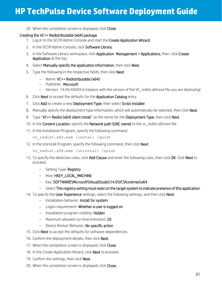20. When the completion screen is displayed, click Close.

#### Creating the VC++ Redistributable (x64) package

- 1. Log in to the SCCM Admin Console and start the Create Application Wizard.
- 2. In the SCCM Admin Console, click Software Library.
- 3. In the Software Library workspace, click Application Management > Applications, then click Create Application at the top.
- 4. Select Manually specify the application information, then click Next.
- 5. Type the following in the respective fields, then click **Next**:
	- − Name: VC++ Redistributable (x64)
	- − Publisher: Microsoft
	- − Version: 14.XX.XXXXX.X (replace with the version of the VC\_redist.x64.exe file you are deploying)
- 6. Click Next to accept the defaults for the Application Catalog entry.
- 7. Click Add to create a new Deployment Type, then select Script Installer.
- 8. Manually specify the deployment type information, which will automatically be selected, then click Next.
- 9. Type "VC++ Redist (x64) silent install" as the name for the Deployment Type, then click Next.
- 10. In the Content Location, specify the Network path (UNC name) to the vc\_redist.x64.exe file.
- 11. In the Installation Program, specify the following command:

vc redist.x64.exe /install /quiet

12. In the Uninstall Program, specify the following command, then click **Next:** 

vc redist.x64.exe /uninstall /quiet

- 13. To specify the detection rules, click Add Clause and enter the following rules, then click OK. Click Next to proceed.
	- − Setting Type: Registry
	- − Hive: HKEY\_LOCAL\_MACHINE
	- − Key: SOFTWARE\Microsoft\VisualStudio\14.0\VC\Runtimes\x64
	- − Select This registry setting must exist on the target system to indicate presence of this application.
- 14. To specify the User Experience settings, select the following settings, and then click Next.
	- − Installation behavior: Install for system
	- − Logon requirement: Whether a user is logged on
	- − Installation program visibility: Hidden
	- − Maximum allowed run time (minutes): 20
	- − Device Restart Behavior: No specific action
- 15. Click **Next** to accept the defaults for software dependencies.
- 16. Confirm the deployment details, then click Next.
- 17. When the completion screen is displayed, click Close.
- 18. In the Create Application Wizard, click **Next** to proceed.
- 19. Confirm the settings, then click **Next**.
- 20. When the completion screen is displayed, click Close.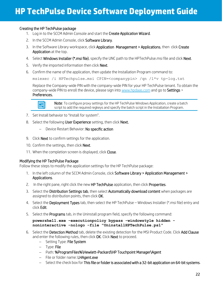#### Creating the HP TechPulse package

- 1. Log in to the SCCM Admin Console and start the Create Application Wizard.
- 2. In the SCCM Admin Console, click Software Library.
- 3. In the Software Library workspace, click Application Management > Applications, then click Create Application at the top.
- 4. Select Windows Installer (\*.msi file), specify the UNC path to the HPTechPulse.msi file and click Next.
- 5. Verify the imported information then click Next.
- 6. Confirm the name of the application, then update the Installation Program command to:

```
msiexec /i HPTechpulse.msi CPIN=<companypin> /qn /l*v tp-log.txt
```
Replace the Company-wide PIN with the company-wide PIN for your HP TechPulse tenant. To obtain the company-wide PIN to enroll the device, please sign int[o www.hpdaas.com](http://www.hpdaas.com/) and go to Settings > Preferences.



l,

Note: To configure proxy settings for the HP TechPulse Windows Application, create a batch script to add the required regkeys and specify the batch script in the Installation Program.

- 7. Set Install behavior to "Install for system".
- 8. Select the following User Experience setting, then click Next.
	- − Device Restart Behavior: No specific action
- 9. Click **Next** to confirm settings for the application.
- 10. Confirm the settings, then click Next.
- 11. When the completion screen is displayed, click Close.

#### Modifying the HP TechPulse Package

Follow these steps to modify the application settings for the HP TechPulse package:

- 1. In the left column of the SCCM Admin Console, click Software Library > Application Management > Applications.
- 2. In the right pane, right click the new HP TechPulse application, then click Properties.
- 3. Select the Distribution Settings tab, then select Automatically download content when packages are assigned to distribution points, then click OK.
- 4. Select the Deployment Types tab, then select the HP TechPulse Windows Installer (\*.msi file) entry and click Edit.
- 5. Select the Programs tab, in the Uninstall program field, specify the following command:

#### **powershell.exe -executionpolicy bypass -windowstyle hidden noninteractive -nologo -file "UninstallHPTechPulse.ps1"**

- 6. Select the Detection Method tab, delete the existing detection for the MSI Product Code. Click Add Clause and enter the following rules, then click OK. Click Next to proceed.
	- − Setting Type: File System
	- − Type: File
	- − Path: %ProgramFiles%\Hewlett-Packard\HP Touchpoint Manager\Agent
	- − File or folder name: LHAgent.exe
	- − Select the check box for This file or folder is associated with a 32-bit application on 64-bit systems.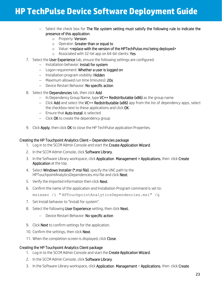- − Select the check box for The file system setting must satisfy the following rule to indicate the presence of this application.
	- o Property: Version
	- o Operator: Greater than or equal to
	- o Value: <replace with the version of the HPTechPulse.msi being deployed>
	- o Associated with 32-bit app on 64-bit clients: Yes
- 7. Select the User Experience tab, ensure the following settings are configured:
	- − Installation behavior: Install for system
	- − Logon requirement: Whether a user is logged on
	- − Installation program visibility: Hidden
	- − Maximum allowed run time (minutes): 20s
	- − Device Restart Behavior: No specific action
- 8. Select the Dependencies tab, then click Add.
	- − In Dependency Group Name, type VC++ Redistributable (x86) as the group name
	- − Click Add and select the VC++ Redistributable (x86) app from the list of dependency apps, select the checkbox next to these applications and click OK.
	- − Ensure that Auto Install is selected
	- − Click OK to create the dependency group
- 9. Click Apply, then click OK to close the HP TechPulse application Properties.

#### Creating the HP Touchpoint Analytics Client – Dependencies package

- 1. Log in to the SCCM Admin Console and start the Create Application Wizard.
- 2. In the SCCM Admin Console, click Software Library.
- 3. In the Software Library workspace, click Application Management > Applications, then click Create Application at the top.
- 4. Select **Windows Installer (\*.msi file)**, specify the UNC path to the HPTouchpointAnalyticsDependencies.msi file and click Next.
- 5. Verify the imported information then click Next.
- 6. Confirm the name of the application and Installation Program command is set to: msiexec /i " HPTouchpointAnalyticsDependencies.msi" /q
- 7. Set Install behavior to "Install for system".
- 8. Select the following User Experience setting, then click Next.
	- − Device Restart Behavior: No specific action
- 9. Click Next to confirm settings for the application.
- 10. Confirm the settings, then click Next.
- 11. When the completion screen is displayed, click Close.

#### Creating the HP Touchpoint Analytics Client package

- 1. Log in to the SCCM Admin Console and start the Create Application Wizard.
- 2. In the SCCM Admin Console, click Software Library.
- 3. In the Software Library workspace, click Application Management > Applications, then click Create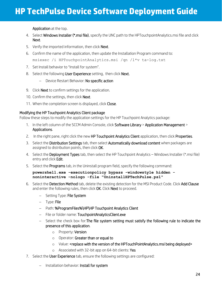Application at the top.

- 4. Select **Windows Installer (\*.msi file)**, specify the UNC path to the HPTouchpointAnalytics.msi file and click Next.
- 5. Verify the imported information, then click Next.
- 6. Confirm the name of the application, then update the Installation Program command to: msiexec /i HPTouchpointAnalytics.msi /qn /l\*v ta-log.txt
- 7. Set Install behavior to "Install for system".
- 8. Select the following User Experience setting, then click Next.
	- − Device Restart Behavior: No specific action
- 9. Click **Next** to confirm settings for the application.
- 10. Confirm the settings, then click **Next**.
- 11. When the completion screen is displayed, click Close.

#### Modifying the HP Touchpoint Analytics Client package

Follow these steps to modify the application settings for the HP Touchpoint Analytics package:

- 1. In the left column of the SCCM Admin Console, click Software Library > Application Management > Applications.
- 2. In the right pane, right click the new HP Touchpoint Analytics Client application, then click Properties.
- 3. Select the Distribution Settings tab, then select Automatically download content when packages are assigned to distribution points, then click OK.
- 4. Select the Deployment Types tab, then select the HP Touchpoint Analytics Windows Installer (\*.msi file) entry and click Edit.
- 5. Select the Programs tab, in the Uninstall program field, specify the following command:

#### **powershell.exe -executionpolicy bypass -windowstyle hidden noninteractive -nologo -file "UninstallHPTechPulse.ps1"**

- 6. Select the Detection Method tab, delete the existing detection for the MSI Product Code. Click Add Clause and enter the following rules, then click **OK**. Click **Next** to proceed.
	- − Setting Type: File System
	- − Type: File
	- − Path: %ProgramFiles%\HP\HP Touchpoint Analytics Client
	- − File or folder name: TouchpointAnalyticsClient.exe
	- − Select the check box for:The file system setting must satisfy the following rule to indicate the presence of this application.
		- o Property: Version
		- o Operator: Greater than or equal to
		- o Value: <replace with the version of the HPTouchPointAnalytics.msi being deployed>
		- o Associated with 32-bit app on 64-bit clients: Yes
- 7. Select the User Experience tab, ensure the following settings are configured:
	- − Installation behavior: Install for system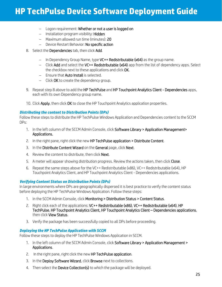- − Logon requirement: Whether or not a user is logged on
- − Installation program visibility: Hidden
- − Maximum allowed run time (minutes): 20
- − Device Restart Behavior: No specific action
- 8. Select the Dependencies tab, then click Add.
	- − In Dependency Group Name, type VC++ Redistributable (x64) as the group name.
	- − Click Add and select the VC++ Redistributable (x64) app from the list of dependency apps. Select the checkbox next to these applications and click OK.
	- − Ensure that Auto Install is selected.
	- − Click OK to create the dependency group.
- 9. Repeat step 8 above to add the HP TechPulse and HP Touchpoint Analytics Client Dependencies apps, each with its own Dependency group name.
- 10. Click Apply, then click OK to close the HP Touchpoint Analytics application properties.

#### *Distributing the content to Distribution Points (DPs)*

Follow these steps to distribute the HP TechPulse Windows Application and Dependencies content to the SCCM DPs:

- 1. In the left column of the SCCM Admin Console, click Software Library > Application Management> Applications.
- 2. In the right pane, right click the new HP TechPulse application > Distribute Content.
- 3. In the Distribute Content Wizard on the General page, click Next.
- 4. Review the content to distribute, then click **Next**.
- 5. A meter will appear showing distribution progress. Review the actions taken, then click Close.
- 6. Repeat the same steps above for the VC++ Redistributable (x86), VC++ Redistributable (x64), HP Touchpoint Analytics Client, and HP Touchpoint Analytics Client - Dependencies applications.

#### *Verifying Content Status on Distribution Points (DPs)*

In large environments where DPs are geographically dispersed it is best practice to verify the content status before deploying the HP TechPulse Windows Application. Follow these steps:

- 1. In the SCCM Admin Console, click Monitoring > Distribution Status > Content Status.
- 2. Right click each of the applications: VC++ Redistributable (x86), VC++ Redistributable (x64), HP TechPulse, HP Touchpoint Analytics Client, HP Touchpoint Analytics Client – Dependencies applications, then click View Status.
- 3. Verify the package has been successfully copied to all DPs before proceeding.

#### *Deploying the HP TechPulse Application with SCCM*

Follow these steps to deploy the HP TechPulse Windows Application in SCCM.

- 1. In the left column of the SCCM Admin Console, click Software Library > Application Management > Applications.
- 2. In the right pane, right click the new HP TechPulse application.
- 3. In the Deploy Software Wizard, click Browse next to collections.
- 4. Then select the Device Collection(s) to which the package will be deployed.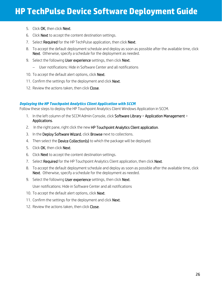- 5. Click OK, then click Next.
- 6. Click Next to accept the content destination settings.
- 7. Select Required for the HP TechPulse application, then click Next.
- 8. To accept the default deployment schedule and deploy as soon as possible after the available time, click Next. Otherwise, specify a schedule for the deployment as needed.
- 9. Select the following User experience settings, then click Next.
	- − User notifications: Hide in Software Center and all notifications
- 10. To accept the default alert options, click **Next**.
- 11. Confirm the settings for the deployment and click Next.
- 12. Review the actions taken, then click Close.

#### *Deploying the HP Touchpoint Analytics Client Application with SCCM*

Follow these steps to deploy the HP Touchpoint Analytics Client Windows Application in SCCM.

- 1. In the left column of the SCCM Admin Console, click Software Library > Application Management > Applications.
- 2. In the right pane, right click the new HP Touchpoint Analytics Client application.
- 3. In the Deploy Software Wizard, click Browse next to collections.
- 4. Then select the Device Collection(s) to which the package will be deployed.
- 5. Click OK, then click Next.
- 6. Click Next to accept the content destination settings.
- 7. Select Required for the HP Touchpoint Analytics Client application, then click Next.
- 8. To accept the default deployment schedule and deploy as soon as possible after the available time, click Next. Otherwise, specify a schedule for the deployment as needed.
- 9. Select the following User experience settings, then click Next.

User notifications: Hide in Software Center and all notifications

- 10. To accept the default alert options, click Next.
- 11. Confirm the settings for the deployment and click **Next**.
- 12. Review the actions taken, then click Close.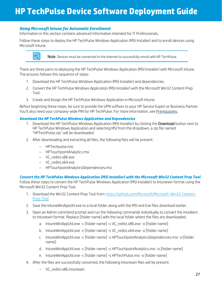#### <span id="page-27-0"></span>*Using Microsoft Intune for Automatic Enrollment*

Information in this section contains advanced information intended for IT Professionals.

Follow these steps to deploy the HP TechPulse Windows Application (MSI Installer) and to enroll devices using Microsoft Intune.



 $\begin{array}{|c|c|c|}\hline \hline \multicolumn{1}{|c|}{\mathbb{R}}\end{array}$  Note: Devices must be connected to the Internet to successfully enroll with HP TechPulse.

There are three parts to deploying the HP TechPulse Windows Application (MSI Installer) with Microsoft Intune. The process follows this sequence of steps:

- 1. Download the HP TechPulse Windows Application (MSI Installer) and dependencies.
- 2. Convert the HP TechPulse Windows Application (MSI Installer) with the Microsoft Win32 Content Prep Tool.
- 3. Create and Assign the HP TechPulse Windows Application in Microsoft Intune.

Before beginning these steps, be sure to provide the UPN suffixes to your HP Service Expert or Business Partner. You'll also need your company-wide PIN for HP TechPulse. For more information, se[e Prerequisites.](#page-3-1)

#### *Download the HP TechPulse Windows Application and Dependencies*

- 1. Download the HP TechPulse Windows Application (MSI Installer) by clicking the Download button next to HP TechPulse Windows Application and selecting MSI from the dropdown, a zip file named "HPTechPulse.zip" will be downloaded.
- 2. After downloading and extracting all files, the following files will be present:
	- − HPTechpulse.msi
	- − HPTouchpointAnalytics.msi
	- − VC\_redist.x86.exe
	- − VC\_redist.x64.exe
	- − HPTouchpointAnalyticsDependencies.msi

*Convert the HP TechPulse Windows Application (MSI Installer) with the Microsoft Win32 Content Prep Tool* Follow these steps to convert the HP TechPulse Windows Application (MSI Installer) to Intunewin format using the Microsoft Win32 Content Prep Tool.

- 1. Download the Win32 Content Prep Tool from: [https://github.com/Microsoft/Microsoft-Win32-Content-](https://github.com/Microsoft/Microsoft-Win32-Content-Prep-Tool)[Prep-Tool](https://github.com/Microsoft/Microsoft-Win32-Content-Prep-Tool)
- 2. Save the IntuneWinAppUtil.exe to a local folder along with the MSI and Exe files download earlier.
- 3. Open an Admin commend prompt and run the following commands individually to convert the installers to Intunewin format. Replace [folder name] with the local folder where the files are downloaded.
	- a. IntuneWinAppUtil.exe -c [folder name] -s VC\_redist.x86.exe -o [folder name]
	- b. IntuneWinAppUtil.exe -c [folder name] -s VC\_redist.x64.exe -o [folder name]
	- c. IntuneWinAppUtil.exe -c [folder name] -s HPTouchpointAnalyticsDependencies.msi -o [folder name]
	- d. IntuneWinAppUtil.exe -c [folder name] -s HPTouchpointAnalytics.msi -o [folder name]
	- e. IntuneWinAppUtil.exe -c [folder name] -s HPTechPulse.msi -o [folder name]
- 4. After the files are successfully converted, the following Intunewin files will be present:
	- − VC\_redist.x86.intunewin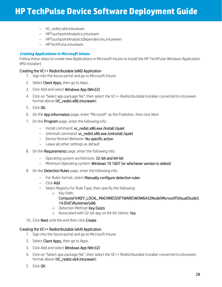- − VC\_redist.x64.intunewin
- − HPTouchpointAnalytics.intunewin
- − HPTouchpointAnalyticsDependencies.intunewin
- − HPTechPulse.intunewin

#### *Creating Applications in Microsoft Intune*

Follow these steps to create new Applications in Microsoft Intune to install the HP TechPulse Windows Application (MSI Installer).

#### Creating the VC++ Redistributable (x86) Application

- 1. Sign into the Azure portal and go to Microsoft Intune
- 2. Select **Client Apps,** then go to Apps.
- 3. Click Add and select Windows App (Win32)
- 4. Click on "Select app package file", then select the VC++ Redistributable Installer converted to intunewin format above (VC\_redist.x86.intunewin).
- 5. Click OK.
- 6. On the App Information page, enter "Microsoft" as the Publisher, then click Next
- 7. On the **Program** page, enter the following info:
	- − Install command: vc\_redist.x86.exe /install /quiet
	- − Uninstall command: vc\_redist.x86.exe /uninstall /quiet
	- − Device Restart Behavior: No specific action
	- − Leave all other settings as default
- 8. On the **Requirements** page, enter the following info:
	- − Operating system architecture: 32-bit and 64-bit
	- − Minimum Operating system: Windows 10 1607 (or whichever version is oldest)
- 9. On the Detection Rules page, enter the following info:
	- − For Rules format, select Manually configure detection rules.
	- − Click Add
	- − Select Registry for Rule Type, then specify the following:
		- o Key Path:

#### Computer\HKEY\_LOCAL\_MACHINE\SOFTWARE\WOW6432Node\Microsoft\VisualStudio\ 14.0\VC\Runtimes\x86

- o Detection Method: Key Exists
- o Associated with 32-bit app on 64-bit clients: Yes
- 10. Click Next until the end then click Create.

#### Creating the VC++ Redistributable (x64) Application

- 1. Sign into the Azure portal and go to Microsoft Intune
- 2. Select **Client Apps,** then go to Apps.
- 3. Click Add and select Windows App (Win32)
- 4. Click on "Select app package file", then select the VC++ Redistributable Installer converted to intunewin format above (VC\_redist.x64.intunewin).
- 5. Click OK.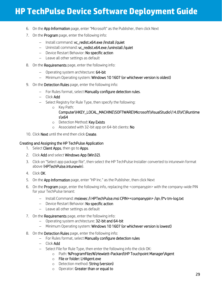- 6. On the App Information page, enter "Microsoft" as the Publisher, then click Next
- 7. On the **Program** page, enter the following info:
	- − Install command: vc\_redist.x64.exe /install /quiet
	- − Uninstall command: vc\_redist.x64.exe /uninstall /quiet
	- − Device Restart Behavior: No specific action
	- − Leave all other settings as default
- 8. On the **Requirements** page, enter the following info:
	- − Operating system architecture: 64-bit
	- − Minimum Operating system: Windows 10 1607 (or whichever version is oldest)
- 9. On the Detection Rules page, enter the following info:
	- − For Rules format, select Manually configure detection rules.
	- − Click Add
	- − Select Registry for Rule Type, then specify the following:
		- o Key Path:

#### Computer\HKEY\_LOCAL\_MACHINE\SOFTWARE\Microsoft\VisualStudio\14.0\VC\Runtime s\x64

- o Detection Method: Key Exists
- o Associated with 32-bit app on 64-bit clients: No
- 10. Click **Next** until the end then click **Create.**

#### Creating and Assigning the HP TechPulse Application

- 1. Select Client Apps, then go to Apps.
- 2. Click Add and select Windows App (Win32).
- 3. Click on "Select app package file", then select the HP TechPulse Installer converted to intunewin format above (HPTechPulse.intunewin).
- 4. Click OK.
- 5. On the App Information page, enter "HP Inc." as the Publisher, then click Next
- 6. On the Program page, enter the following info, replacing the <companypin> with the company-wide PIN for your TechPulse tenant:
	- − Install Command: msiexec /i HPTechPulse.msi CPIN=<companypin> /qn /l\*v tm-log.txt
	- − Device Restart Behavior: No specific action
	- − Leave all other settings as default
- 7. On the **Requirements** page, enter the following info:
	- − Operating system architecture: 32-bit and 64-bit
	- − Minimum Operating system: Windows 10 1607 (or whichever version is lowest)
- 8. On the Detection Rules page, enter the following info:
	- − For Rules format, select Manually configure detection rules
	- − Click Add
	- − Select File for Rule Type, then enter the following info the click OK:
		- o Path: %ProgramFiles%\Hewlett-Packard\HP Touchpoint Manager\Agent
		- o File or folder: LHAgent.exe
		- o Detection method: String (version)
		- o Operator: Greater than or equal to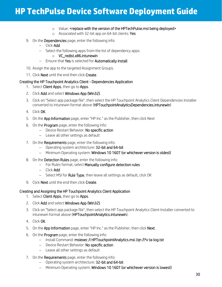- o Value: <replace with the version of the HPTechPulse.msi being deployed>
- o Associated with 32-bit app on 64-bit clients: Yes
- 9. On the Dependencies page, enter the following info:
	- − Click Add
	- − Select the following apps from the list of dependency apps:
		- o VC\_redist.x86.intunewin
	- − Ensure that Yes is selected for Automatically Install
- 10. Assign the app to the targeted Assignment Groups.
- 11. Click Next until the end then click Create.

#### Creating the HP Touchpoint Analytics Client - Dependencies Application

- 1. Select Client Apps, then go to Apps.
- 2. Click Add and select Windows App (Win32).
- 3. Click on "Select app package file", then select the HP Touchpoint Analytics Client Dependencies Installer converted to intunewin format above (HPTouchpointAnalyticsDependencies.intunewin)
- 4. Click OK.
- 5. On the App Information page, enter "HP Inc." as the Publisher, then click Next
- 6. On the Program page, enter the following info:
	- − Device Restart Behavior: No specific action
	- − Leave all other settings as default
- 7. On the **Requirements** page, enter the following info:
	- − Operating system architecture: 32-bit and 64-bit
	- − Minimum Operating system: Windows 10 1607 (or whichever version is oldest)
- 8. On the **Detection Rules** page, enter the following info:
	- − For Rules format, select Manually configure detection rules
	- − Click Add
	- − Select MSI for Rule Type, then leave all settings as default, click OK
- 9. Click **Next** until the end then click **Create.**

#### Creating and Assigning the HP Touchpoint Analytics Client Application

- 1. Select **Client Apps**, then go to **Apps**.
- 2. Click Add and select Windows App (Win32).
- 3. Click on "Select app package file", then select the HP Touchpoint Analytics Client Installer converted to intunewin format above (HPTouchpointAnalytics.intunewin).
- 4. Click OK.
- 5. On the App Information page, enter "HP Inc." as the Publisher, then click Next.
- 6. On the Program page, enter the following info:
	- − Install Command: msiexec /i HPTouchpointAnalytics.msi /qn /l\*v ta-log.txt
	- − Device Restart Behavior: No specific action
	- − Leave all other settings as default
- 7. On the **Requirements** page, enter the following info:
	- − Operating system architecture: 32-bit and 64-bit
	- − Minimum Operating system: Windows 10 1607 (or whichever version is lowest)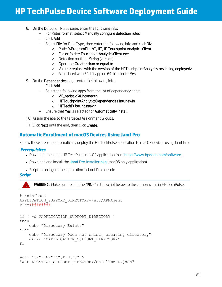- 8. On the Detection Rules page, enter the following info:
	- − For Rules format, select Manually configure detection rules
	- − Click Add
	- − Select File for Rule Type, then enter the following info and click OK:
		- o Path: %ProgramFiles%\HP\HP Touchpoint Analytics Client
		- o File or folder: TouchpointAnalyticsClient.exe
		- o Detection method: String (version)
		- o Operator: Greater than or equal to
		- o Value: <replace with the version of the HPTouchpointAnalytics.msi being deployed>
		- o Associated with 32-bit app on 64-bit clients: Yes
- 9. On the Dependencies page, enter the following info:
	- − Click Add
	- − Select the following apps from the list of dependency apps:
		- o VC\_redist.x64.intunewin
		- o HPTouchpointAnalyticsDependencies.intunewin
		- o HPTechPulse.intunewin
	- − Ensure that Yes is selected for Automatically Install
- 10. Assign the app to the targeted Assignment Groups.
- 11. Click Next until the end, then click Create.

### <span id="page-31-0"></span>**Automatic Enrollment of macOS Devices Using Jamf Pro**

Follow these steps to automatically deploy the HP TechPulse application to macOS devices using Jamf Pro.

#### <span id="page-31-1"></span>*Prerequisites*

- Download the latest HP TechPulse macOS application from <https://www.hpdaas.com/software>
- Download and install the [Jamf Pro Installer.pkg](https://docs.jamf.com/10.20.0/jamf-pro/install-guide-mac/Installing_Jamf_Pro_Using_the_Installer.html) (macOS only application)
- Script to configure the application in Jamf Pro console.

#### <span id="page-31-2"></span>*Script*

**WARNING:** Make sure to edit the "PIN=" in the script below to the company pin in HP TechPulse.

```
#!/bin/bash
APPLICATION_SUPPORT_DIRECTORY=/etc/APMAgent
PIN=#########
if [ -d $APPLICATION_SUPPORT_DIRECTORY ]
then
     echo "Directory Exists"
else
     echo "Directory Does not exist, creating directory"
     mkdir "$APPLICATION_SUPPORT_DIRECTORY"
fi
```

```
echo "{\"PIN\":\"$PIN\"}" > 
"$APPLICATION SUPPORT DIRECTORY/enrollment.json"
```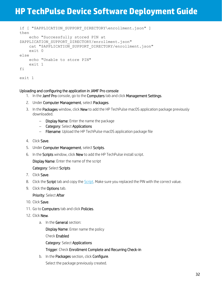```
if [ "$APPLICATION SUPPORT DIRECTORY\enrollment.json" ]
then
    echo "Successfully stored PIN at 
$APPLICATION SUPPORT DIRECTORY/enrollment.json"
   cat "$APPLICATION SUPPORT DIRECTORY/enrollment.json"
     exit 0
else
    echo "Unable to store PIN"
    exit 1
fi
exit 1
```
#### Uploading and configuring the application in JAMF Pro console

- 1. In the Jamf Pro console, go to the Computers tab and click Management Settings.
- 2. Under Computer Management, select Packages.
- 3. In the Packages window, click New to add the HP TechPulse macOS application package previously downloaded.
	- − Display Name: Enter the name the package
	- − Category: Select Applications
	- − Filename: Upload the HP TechPulse macOS application package file
- 4. Click Save.
- 5. Under Computer Management, select Scripts.
- 6. In the Scripts window, click New to add the HP TechPulse install script.

Display Name: Enter the name of the script

Category: Select Scripts

- 7. Click Save.
- 8. Click the Script tab and copy the [Script.](#page-31-2) Make sure you replaced the PIN with the correct value.
- 9. Click the **Options** tab.

#### Priority: Select After

- 10. Click Save.
- 11. Go to Computers tab and click Policies.
- 12. Click New.
	- a. In the General section:

Display Name: Enter name the policy

Check Enabled

Category: Select Applications

Trigger: Check Enrollment Complete and Recurring Check-in

b. In the Packages section, click Configure.

Select the package previously created.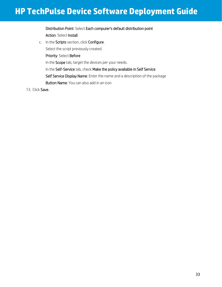### Distribution Point: Select Each computer's default distribution point Action: Select Install

c. In the Scripts section, click Configure.

Select the script previously created.

Priority: Select Before

In the Scope tab, target the devices per your needs.

In the Self-Service tab, check Make the policy available in Self Service

Self Service Display Name: Enter the name and a description of the package

Button Name: You can also add in an icon

13. Click Save.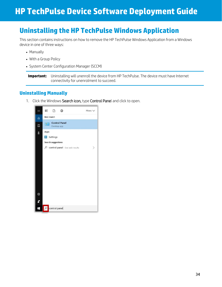## <span id="page-34-0"></span>**Uninstalling the HP TechPulse Windows Application**

This section contains instructions on how to remove the HP TechPulse Windows Application from a Windows device in one of three ways:

- Manually
- With a Group Policy
- System Center Configuration Manager (SCCM)

**Important:** Uninstalling will unenroll the device from HP TechPulse. The device must have Internet connectivity for unenrolment to succeed.

### <span id="page-34-1"></span>**Uninstalling Manually**

1. Click the Windows Search icon, type Control Panel and click to open.

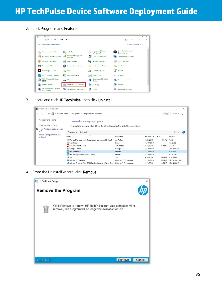2. Click Programs and Features

|        | <b>ESI All Control Panel Items</b>                  |                         |                                        |                   |                                          |              |                                                         | $\sim$               | Ω | $\times$      |
|--------|-----------------------------------------------------|-------------------------|----------------------------------------|-------------------|------------------------------------------|--------------|---------------------------------------------------------|----------------------|---|---------------|
|        | ← → ← ↑ E > Control Panel > All Control Panel Items |                         |                                        |                   |                                          |              | $\circ$                                                 | Search Control Panel |   | $\mathcal{L}$ |
|        | Adjust your computer's settings                     |                         |                                        |                   |                                          |              |                                                         | View by: Large icons |   |               |
| e      | <b>Administrative Tools</b>                         |                         | AutoPlay                               | 少                 | <b>Backup and Restore</b><br>(Windows 7) | Bo           | <b>Bang &amp; Olufsen Audio</b><br><b>Control Panel</b> |                      |   |               |
|        | <b>BitLocker Drive Encryption</b>                   | $\triangleleft$         | <b>BitLocker Encryption</b><br>Options | <b>A</b>          | <b>Color Management</b>                  | <b>PARTS</b> | <b>Configuration Manager</b>                            |                      |   |               |
| G)     | <b>Credential Manager</b>                           |                         | Date and Time                          | L.                | <b>Default Programs</b>                  | d.           | <b>Device Manager</b>                                   |                      |   |               |
| 零      | <b>Devices and Printers</b>                         | 69                      | Ease of Access Center                  | E.                | <b>File Explorer Options</b>             | Ò            | <b>File History</b>                                     |                      |   |               |
|        | Flash Player (32-bit)                               | $\overline{\mathbf{A}}$ | Fonts                                  | D                 | <b>Indexing Options</b>                  | īf           | Infrared                                                |                      |   |               |
| 奧      | Intel <sup>®</sup> Graphics Settings                | $\mathbf{z}$            | <b>Internet Options</b>                | €                 | Java (32-bit)                            |              | Keyboard                                                |                      |   |               |
| O      | Mail (Microsoft Outlook<br>2016                     |                         | Mouse                                  |                   | Network and Sharing                      |              | Phone and Modem                                         |                      |   |               |
|        | <b>Power Options</b>                                | $\alpha$                | <b>Programs and Features</b>           | <b>Collection</b> | Recovery                                 |              | Region                                                  |                      |   |               |
| $-100$ | RemoteApp and Desktop<br>Connections                | ۷b                      | Security and Maintenance               | $\bullet$         | Sound                                    |              | <b>Speech Recognition</b>                               |                      |   |               |

3. Locate and click HP TechPulse, then click Uninstall.



4. From the Uninstall wizard, click Remove.

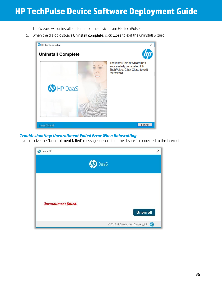The Wizard will uninstall and unenroll the device from HP TechPulse.

5. When the dialog displays Uninstall complete, click Close to exit the uninstall wizard.



#### <span id="page-36-0"></span>*Troubleshooting: Unenrollment Failed Error When Uninstalling*

If you receive the "Unenrollment failed" message, ensure that the device is connected to the internet.

| <b>D</b> Unenroll           | $\times$                                 |
|-----------------------------|------------------------------------------|
|                             | DaaS                                     |
| <b>Unenrollment failed.</b> | <b>Unenroll</b>                          |
|                             | © 2018 HP Development Company, L.P. (77) |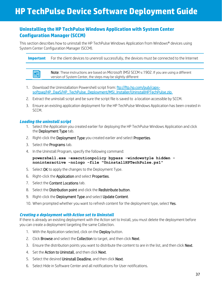### <span id="page-37-0"></span>**Uninstalling the HP TechPulse Windows Application with System Center Configuration Manager (SCCM)**

This section describes how to uninstall the HP TechPulse Windows Application from Windows® devices using System Center Configuration Manager (SCCM).

**Important** For the client devices to unenroll successfully, the devices must be connected to the Internet

團 Note: These instructions are based on Microsoft (MS) SCCM v.1902. If you are using a different version of System Center, the steps may be slightly different

- 1. Download the Uninstallation Powershell script from: [ftp://ftp.hp.com/pub/caps](ftp://ftp.hp.com/pub/caps-softpaq/HP_DaaS/HP_TechPulse_Deployment/MSI_Installer/UninstallHPTechPulse.zip)[softpaq/HP\\_DaaS/HP\\_TechPulse\\_Deployment/MSI\\_Installer/UninstallHPTechPulse.zip.](ftp://ftp.hp.com/pub/caps-softpaq/HP_DaaS/HP_TechPulse_Deployment/MSI_Installer/UninstallHPTechPulse.zip)
- 2. Extract the uninstall script and be sure the script file is saved to a location accessible by SCCM.
- 3. Ensure an existing application deployment for the HP TechPulse Windows Application has been created in SCCM.

#### <span id="page-37-1"></span>*Loading the uninstall script*

L

- 1. Select the Application you created earlier for deploying the HP TechPulse Windows Application and click the Deployment Type tab.
- 2. Right-click the Deployment Type you created earlier and select Properties.
- 3. Select the Programs tab.
- 4. In the Uninstall Program, specify the following command:

**powershell.exe -executionpolicy bypass -windowstyle hidden noninteractive -nologo -file "UninstallHPTechPulse.ps1"**

- 5. Select OK to apply the changes to the Deployment Type.
- 6. Right-click the Application and select Properties.
- 7. Select the **Content Locations** tab.
- 8. Select the Distribution point and click the Redistribute button.
- 9. Right-click the Deployment Type and select Update Content.
- 10. When prompted whether you want to refresh content for the deployment type, select Yes.

#### <span id="page-37-2"></span>*Creating a deployment with Action set to Uninstall*

If there is already an existing deployment with the Action set to Install, you must delete the deployment before you can create a deployment targeting the same Collection.

- 1. With the Application selected, click on the Deploy button.
- 2. Click Browse and select the Collection to target, and then click Next.
- 3. Ensure the distribution points you want to distribute the content to are in the list, and then click Next.
- 4. Set the **Action to Uninstall**, and then click **Next**.
- 5. Select the desired Uninstall Deadline, and then click Next.
- 6. Select Hide in Software Center and all notifications for User notifications.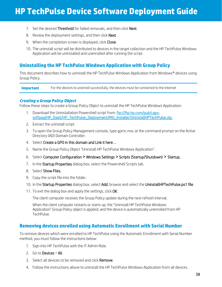- 7. Set the desired **Threshold** for failed removals, and then click **Next**.
- 8. Review the deployment settings, and then click **Next**.
- 9. When the completion screen is displayed, click Close.
- 10. The uninstall script will be distributed to devices in the target collection and the HP TechPulse Windows Application will be uninstalled and unenrolled after running the script.

### <span id="page-38-0"></span>**Uninstalling the HP TechPulse Windows Application with Group Policy**

This document describes how to uninstall the HP TechPulse Windows Application from Windows® devices using Group Policy.

**Important** For the devices to unenroll successfully, the devices must be connected to the Internet

#### <span id="page-38-1"></span>*Creating a Group Policy Object*

Follow these steps to create a Group Policy Object to uninstall the HP TechPulse Windows Application:

- 1. Download the Uninstallation Powershell script from: [ftp://ftp.hp.com/pub/caps](ftp://ftp.hp.com/pub/caps-softpaq/HP_DaaS/HP_TechPulse_Deployment/MSI_Installer/UninstallHPTechPulse.zip)[softpaq/HP\\_DaaS/HP\\_TechPulse\\_Deployment/MSI\\_Installer/UninstallHPTechPulse.zip.](ftp://ftp.hp.com/pub/caps-softpaq/HP_DaaS/HP_TechPulse_Deployment/MSI_Installer/UninstallHPTechPulse.zip)
- 2. Extract the uninstall script.
- 3. To open the Group Policy Management console, type gpmc.msc at the command prompt on the Active Directory (AD) Domain Controller.
- 4. Select Create a GPO in this domain and Link it here….
- 5. Name the Group Policy Object "Uninstall HP TechPulse Windows Application".
- 6. Select Computer Configuration > Windows Settings > Scripts (Startup/Shutdown) > Startup.
- 7. In the Startup Properties dialog box, select the Powershell Scripts tab.
- 8. Select Show Files.
- 9. Copy the script file into the folder.
- 10. In the Startup Properties dialog box, select Add, browse and select the UninstallHPTechPulse.ps1 file.
- 11. To exit the dialog box and apply the settings, click OK.

The client computer receives the Group Policy update during the next refresh interval.

When the client computer restarts or starts up, the "Uninstall HP TechPulse Windows Application" Group Policy object is applied, and the device is automatically unenrolled from HP TechPulse.

### <span id="page-38-2"></span>**Removing devices enrolled using Automatic Enrollment with Serial Number**

To remove devices which were enrolled to HP TechPulse using the Automatic Enrollment with Serial Number method, you must follow the instructions below:

- 1. Sign into HP TechPulse with the IT Admin Role.
- 2. Go to Devices > All.
- 3. Select all devices to be removed and click Remove.
- 4. Follow the instructions above to uninstall the HP TechPulse Windows Application from all devices.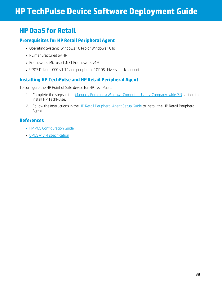## <span id="page-39-0"></span>**HP DaaS for Retail**

## <span id="page-39-1"></span>**Prerequisites for HP Retail Peripheral Agent**

- Operating System: Windows 10 Pro or Windows 10 IoT
- PC manufactured by HP
- Framework: Microsoft .NET Framework v4.6
- UPOS Drivers: CCO v1.14 and peripherals' OPOS drivers stack support

### <span id="page-39-2"></span>**Installing HP TechPulse and HP Retail Peripheral Agent**

To configure the HP Point of Sale device for HP TechPulse:

- 1. Complete the steps in the Manually Enrolling a Windows Computer Using a [Company-wide](#page-8-3) PIN section to install HP TechPulse.
- 2. Follow the instructions in th[e HP Retail Peripheral Agent Setup Guide](http://h10032.www1.hp.com/ctg/Manual/c06243694) to Install the HP Retail Peripheral Agent.

### <span id="page-39-3"></span>**References**

- [HP POS Configuration Guide](http://h10032.www1.hp.com/ctg/Manual/c05837004)
- [UPOS v1.14 specification](https://www.omg.org/retail/unified-pos.htm)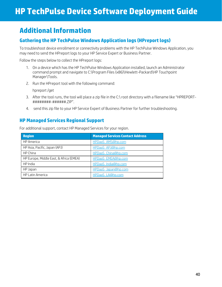## <span id="page-40-0"></span>**Additional Information**

## <span id="page-40-1"></span>**Gathering the HP TechPulse Windows Application logs (HPreport logs)**

To troubleshoot device enrollment or connectivity problems with the HP TechPulse Windows Application, you may need to send the HPreport logs to your HP Service Expert or Business Partner.

Follow the steps below to collect the HPreport logs:

- 1. On a device which has the HP TechPulse Windows Application installed, launch an Administrator command prompt and navigate to C:\Program Files (x86)\Hewlett-Packard\HP Touchpoint Manager\Tools.
- 2. Run the HPreport tool with the following command:

hpreport /get

- 3. After the tool runs, the tool will place a zip file in the C:\ root directory with a filename like "HPREPORT- ########-######.ZIP".
- 4. send this zip file to your HP Service Expert of Business Partner for further troubleshooting.

### <span id="page-40-2"></span>**HP Managed Services Regional Support**

For additional support, contact HP Managed Services for your region.

| <b>Region</b>                           | <b>Managed Services Contact Address</b> |
|-----------------------------------------|-----------------------------------------|
| <b>HP</b> America                       | HPDaaS AMS@hp.com                       |
| HP Asia, Pacific, Japan (APJ)           | HPDaaS APJ@hp.com                       |
| HP China                                | HPDaaS China@hp.com                     |
| HP Europe, Middle East, & Africa (EMEA) | HPDaaS EMEA@hp.com                      |
| HP India                                | HPDaaS India@hp.com                     |
| HP Japan                                | HPDaaS Japan@hp.com                     |
| HP Latin America                        | HPDaaS LA@hp.com                        |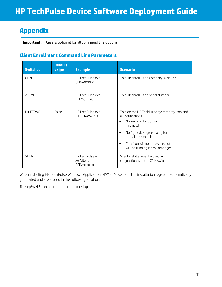## <span id="page-41-0"></span>**Appendix**

**Important:** Case is optional for all command line options.

### <span id="page-41-1"></span>**Client Enrollment Command Line Parameters**

| <b>Switches</b> | <b>Default</b><br>value | <b>Example</b>                            | <b>Scenario</b>                                                                                                                                                                                                                      |
|-----------------|-------------------------|-------------------------------------------|--------------------------------------------------------------------------------------------------------------------------------------------------------------------------------------------------------------------------------------|
| <b>CPIN</b>     | $\Omega$                | HPTechPulse.exe<br>CPIN=XXXXX             | To bulk enroll using Company Wide Pin                                                                                                                                                                                                |
| ZTEMODE         | $\Omega$                | HPTechPulse.exe<br>ZTEMODE=0              | To bulk enroll using Serial Number                                                                                                                                                                                                   |
| <b>HIDETRAY</b> | False                   | HPTechPulse.exe<br>HIDETRAY=True          | To hide the HP TechPulse system tray icon and<br>all notifications.<br>No warning for domain<br>mismatch<br>No Agree/Disagree dialog for<br>domain mismatch<br>Tray icon will not be visible, but<br>will be running in task manager |
| <b>SILENT</b>   |                         | HPTechPulse.e<br>xe/silent<br>CPIN=xxxxxx | Silent installs must be used in<br>conjunction with the CPIN switch.                                                                                                                                                                 |

When installing HP TechPulse Windows Application (HPTechPulse.exe), the installation logs are automatically generated and are stored in the following location:

%temp%/HP\_Techpulse\_<timestamp>.log